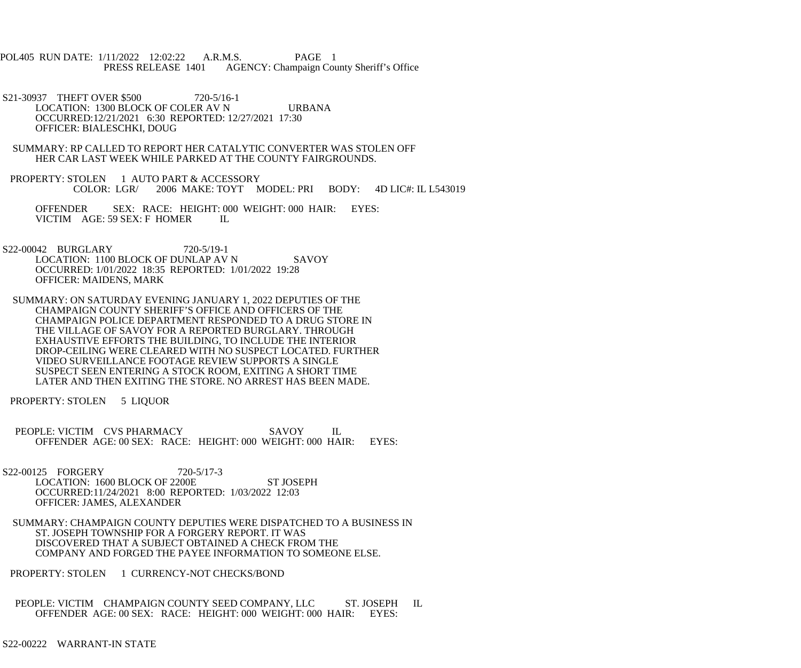POL405 RUN DATE: 1/11/2022 12:02:22 A.R.M.S. PAGE 1 PRESS RELEASE 1401 AGENCY: Champaign County Sheriff's Office

S21-30937 THEFT OVER \$500 720-5/16-1 LOCATION: 1300 BLOCK OF COLER AV N URBANA OCCURRED:12/21/2021 6:30 REPORTED: 12/27/2021 17:30 OFFICER: BIALESCHKI, DOUG

 SUMMARY: RP CALLED TO REPORT HER CATALYTIC CONVERTER WAS STOLEN OFF HER CAR LAST WEEK WHILE PARKED AT THE COUNTY FAIRGROUNDS.

PROPERTY: STOLEN 1 AUTO PART & ACCESSORY<br>COLOR: LGR/ 2006 MAKE: TOYT M 2006 MAKE: TOYT MODEL: PRI BODY: 4D LIC#: IL L543019

 OFFENDER SEX: RACE: HEIGHT: 000 WEIGHT: 000 HAIR: EYES: VICTIM AGE: 59 SEX: F HOMER IL

 S22-00042 BURGLARY 720-5/19-1 LOCATION: 1100 BLOCK OF DUNLAP AV N SAVOY OCCURRED: 1/01/2022 18:35 REPORTED: 1/01/2022 19:28 OFFICER: MAIDENS, MARK

 SUMMARY: ON SATURDAY EVENING JANUARY 1, 2022 DEPUTIES OF THE CHAMPAIGN COUNTY SHERIFF'S OFFICE AND OFFICERS OF THE CHAMPAIGN POLICE DEPARTMENT RESPONDED TO A DRUG STORE IN THE VILLAGE OF SAVOY FOR A REPORTED BURGLARY. THROUGH EXHAUSTIVE EFFORTS THE BUILDING, TO INCLUDE THE INTERIOR DROP-CEILING WERE CLEARED WITH NO SUSPECT LOCATED. FURTHER VIDEO SURVEILLANCE FOOTAGE REVIEW SUPPORTS A SINGLE SUSPECT SEEN ENTERING A STOCK ROOM, EXITING A SHORT TIME LATER AND THEN EXITING THE STORE. NO ARREST HAS BEEN MADE.

PROPERTY: STOLEN 5 LIQUOR

 PEOPLE: VICTIM CVS PHARMACY SAVOY IL OFFENDER AGE: 00 SEX: RACE: HEIGHT: 000 WEIGHT: 000 HAIR: EYES:

S22-00125 FORGERY 720-5/17-3 LOCATION: 1600 BLOCK OF 2200E ST JOSEPH OCCURRED:11/24/2021 8:00 REPORTED: 1/03/2022 12:03 OFFICER: JAMES, ALEXANDER

 SUMMARY: CHAMPAIGN COUNTY DEPUTIES WERE DISPATCHED TO A BUSINESS IN ST. JOSEPH TOWNSHIP FOR A FORGERY REPORT. IT WAS DISCOVERED THAT A SUBJECT OBTAINED A CHECK FROM THE COMPANY AND FORGED THE PAYEE INFORMATION TO SOMEONE ELSE.

PROPERTY: STOLEN 1 CURRENCY-NOT CHECKS/BOND

 PEOPLE: VICTIM CHAMPAIGN COUNTY SEED COMPANY, LLC ST. JOSEPH IL OFFENDER AGE: 00 SEX: RACE: HEIGHT: 000 WEIGHT: 000 HAIR: EYES:

S22-00222 WARRANT-IN STATE